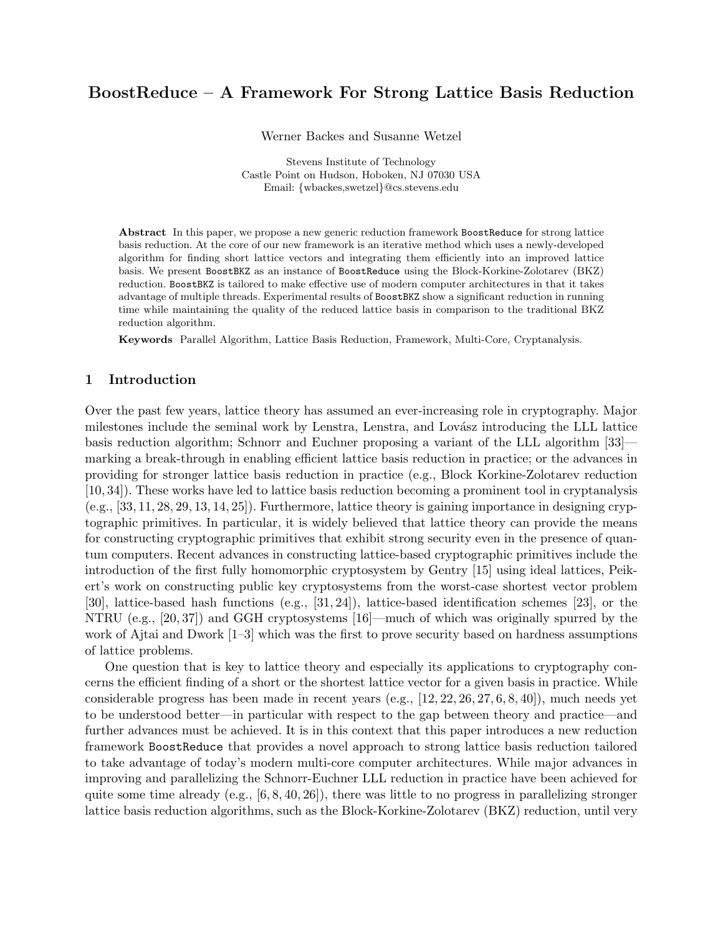# BoostReduce – A Framework For Strong Lattice Basis Reduction

Werner Backes and Susanne Wetzel

Stevens Institute of Technology Castle Point on Hudson, Hoboken, NJ 07030 USA Email: {wbackes,swetzel}@cs.stevens.edu

Abstract In this paper, we propose a new generic reduction framework BoostReduce for strong lattice basis reduction. At the core of our new framework is an iterative method which uses a newly-developed algorithm for finding short lattice vectors and integrating them efficiently into an improved lattice basis. We present BoostBKZ as an instance of BoostReduce using the Block-Korkine-Zolotarev (BKZ) reduction. BoostBKZ is tailored to make effective use of modern computer architectures in that it takes advantage of multiple threads. Experimental results of BoostBKZ show a significant reduction in running time while maintaining the quality of the reduced lattice basis in comparison to the traditional BKZ reduction algorithm.

Keywords Parallel Algorithm, Lattice Basis Reduction, Framework, Multi-Core, Cryptanalysis.

# 1 Introduction

Over the past few years, lattice theory has assumed an ever-increasing role in cryptography. Major milestones include the seminal work by Lenstra, Lenstra, and Lovász introducing the LLL lattice basis reduction algorithm; Schnorr and Euchner proposing a variant of the LLL algorithm [33] marking a break-through in enabling efficient lattice basis reduction in practice; or the advances in providing for stronger lattice basis reduction in practice (e.g., Block Korkine-Zolotarev reduction [10, 34]). These works have led to lattice basis reduction becoming a prominent tool in cryptanalysis (e.g., [33, 11, 28, 29, 13, 14, 25]). Furthermore, lattice theory is gaining importance in designing cryptographic primitives. In particular, it is widely believed that lattice theory can provide the means for constructing cryptographic primitives that exhibit strong security even in the presence of quantum computers. Recent advances in constructing lattice-based cryptographic primitives include the introduction of the first fully homomorphic cryptosystem by Gentry [15] using ideal lattices, Peikert's work on constructing public key cryptosystems from the worst-case shortest vector problem [30], lattice-based hash functions (e.g., [31, 24]), lattice-based identification schemes [23], or the NTRU (e.g., [20, 37]) and GGH cryptosystems [16]—much of which was originally spurred by the work of Ajtai and Dwork [1–3] which was the first to prove security based on hardness assumptions of lattice problems.

One question that is key to lattice theory and especially its applications to cryptography concerns the efficient finding of a short or the shortest lattice vector for a given basis in practice. While considerable progress has been made in recent years (e.g., [12, 22, 26, 27, 6, 8, 40]), much needs yet to be understood better—in particular with respect to the gap between theory and practice—and further advances must be achieved. It is in this context that this paper introduces a new reduction framework BoostReduce that provides a novel approach to strong lattice basis reduction tailored to take advantage of today's modern multi-core computer architectures. While major advances in improving and parallelizing the Schnorr-Euchner LLL reduction in practice have been achieved for quite some time already (e.g.,  $[6, 8, 40, 26]$ ), there was little to no progress in parallelizing stronger lattice basis reduction algorithms, such as the Block-Korkine-Zolotarev (BKZ) reduction, until very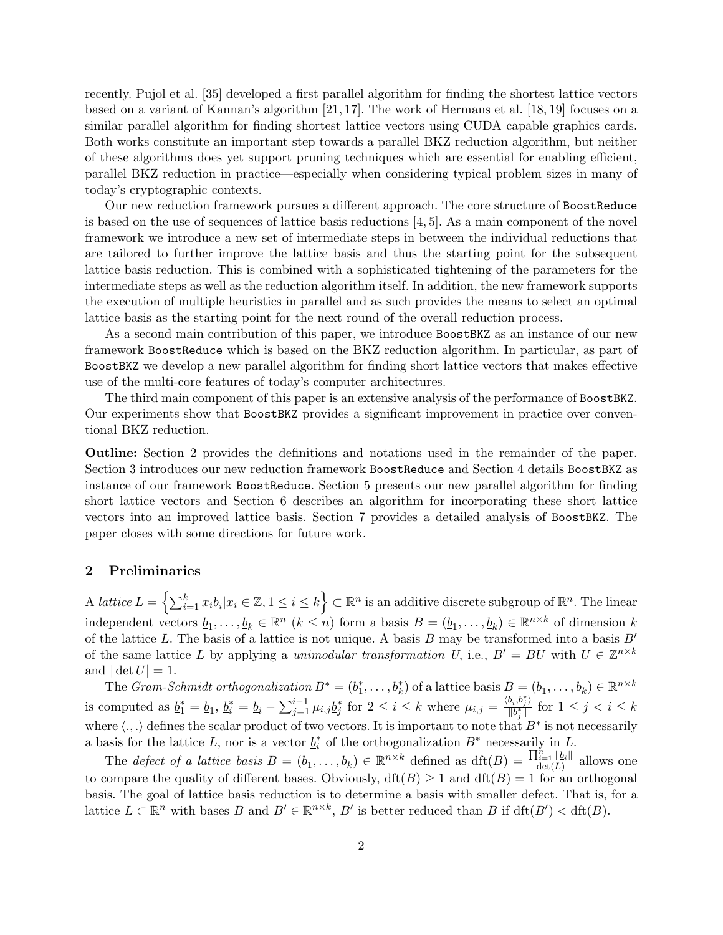recently. Pujol et al. [35] developed a first parallel algorithm for finding the shortest lattice vectors based on a variant of Kannan's algorithm [21, 17]. The work of Hermans et al. [18, 19] focuses on a similar parallel algorithm for finding shortest lattice vectors using CUDA capable graphics cards. Both works constitute an important step towards a parallel BKZ reduction algorithm, but neither of these algorithms does yet support pruning techniques which are essential for enabling efficient, parallel BKZ reduction in practice—especially when considering typical problem sizes in many of today's cryptographic contexts.

Our new reduction framework pursues a different approach. The core structure of BoostReduce is based on the use of sequences of lattice basis reductions  $[4, 5]$ . As a main component of the novel framework we introduce a new set of intermediate steps in between the individual reductions that are tailored to further improve the lattice basis and thus the starting point for the subsequent lattice basis reduction. This is combined with a sophisticated tightening of the parameters for the intermediate steps as well as the reduction algorithm itself. In addition, the new framework supports the execution of multiple heuristics in parallel and as such provides the means to select an optimal lattice basis as the starting point for the next round of the overall reduction process.

As a second main contribution of this paper, we introduce BoostBKZ as an instance of our new framework BoostReduce which is based on the BKZ reduction algorithm. In particular, as part of BoostBKZ we develop a new parallel algorithm for finding short lattice vectors that makes effective use of the multi-core features of today's computer architectures.

The third main component of this paper is an extensive analysis of the performance of BoostBKZ. Our experiments show that BoostBKZ provides a significant improvement in practice over conventional BKZ reduction.

Outline: Section 2 provides the definitions and notations used in the remainder of the paper. Section 3 introduces our new reduction framework BoostReduce and Section 4 details BoostBKZ as instance of our framework BoostReduce. Section 5 presents our new parallel algorithm for finding short lattice vectors and Section 6 describes an algorithm for incorporating these short lattice vectors into an improved lattice basis. Section 7 provides a detailed analysis of BoostBKZ. The paper closes with some directions for future work.

# 2 Preliminaries

A lattice  $L = \left\{ \sum_{i=1}^k x_i \underline{b}_i | x_i \in \mathbb{Z}, 1 \leq i \leq k \right\} \subset \mathbb{R}^n$  is an additive discrete subgroup of  $\mathbb{R}^n$ . The linear independent vectors  $\underline{b}_1,\ldots,\underline{b}_k \in \mathbb{R}^n$   $(k \leq n)$  form a basis  $B = (\underline{b}_1,\ldots,\underline{b}_k) \in \mathbb{R}^{n \times k}$  of dimension k of the lattice L. The basis of a lattice is not unique. A basis  $B$  may be transformed into a basis  $B'$ of the same lattice L by applying a unimodular transformation U, i.e.,  $B' = BU$  with  $U \in \mathbb{Z}^{n \times k}$ and  $|\det U| = 1$ .

The Gram-Schmidt orthogonalization  $B^* = (\underline{b}_1^*, \ldots, \underline{b}_k^*)$  of a lattice basis  $B = (\underline{b}_1, \ldots, \underline{b}_k) \in \mathbb{R}^{n \times k}$ is computed as  $\underline{b}_1^* = \underline{b}_1, \ \underline{b}_i^* = \underline{b}_i - \sum_{j=1}^{i-1} \mu_{i,j} \underline{b}_j^*$  for  $2 \leq i \leq k$  where  $\mu_{i,j} = \frac{\langle \underline{b}_i, \underline{b}_j^* \rangle}{\|\underline{b}_i^*\|}$  $\frac{\sum_i \sum_j j}{\|\underline{b}_j^*\|}$  for  $1 \leq j < i \leq k$ where  $\langle .,.\rangle$  defines the scalar product of two vectors. It is important to note that  $B^*$  is not necessarily a basis for the lattice L, nor is a vector  $\underline{b}_i^*$  of the orthogonalization  $B^*$  necessarily in L.

The defect of a lattice basis  $B = (\underline{b}_1, \ldots, \underline{b}_k) \in \mathbb{R}^{n \times k}$  defined as  $\mathrm{dft}(B) = \frac{\prod_{i=1}^n ||\underline{b}_i||}{\mathrm{det}(L)}$  $\frac{\log |I|}{\det(L)}$  allows one to compare the quality of different bases. Obviously,  $\text{dft}(B) \geq 1$  and  $\text{dft}(B) = 1$  for an orthogonal basis. The goal of lattice basis reduction is to determine a basis with smaller defect. That is, for a lattice  $L \subset \mathbb{R}^n$  with bases B and  $B' \in \mathbb{R}^{n \times k}$ , B' is better reduced than B if  $dft(B') < dft(B)$ .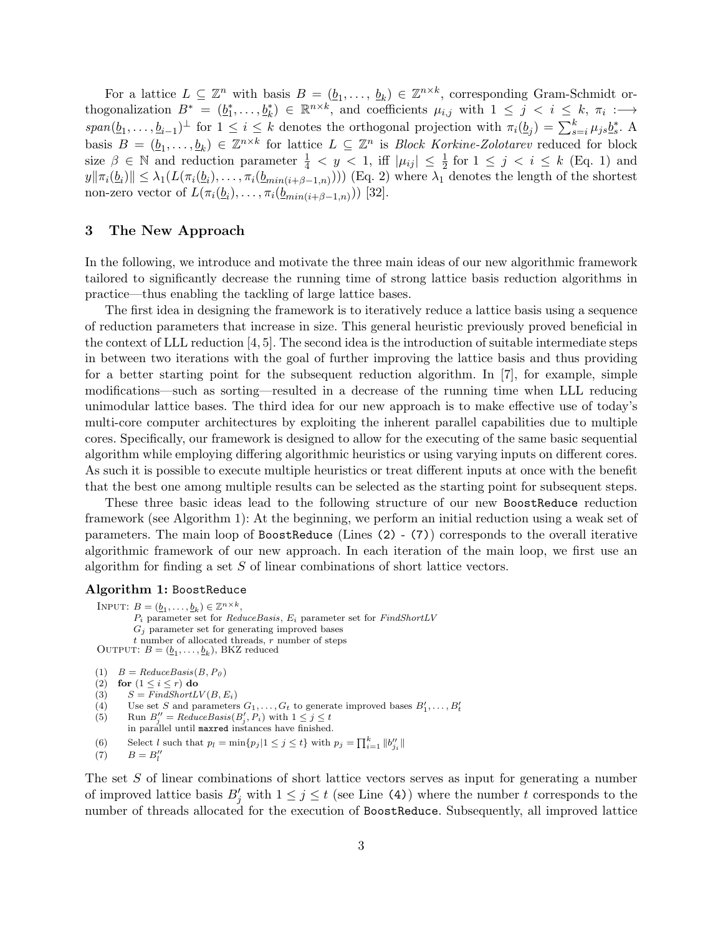For a lattice  $L \subseteq \mathbb{Z}^n$  with basis  $B = (\underline{b}_1, \ldots, \underline{b}_k) \in \mathbb{Z}^{n \times k}$ , corresponding Gram-Schmidt orthogonalization  $B^* = (\underline{b}_1^*, \ldots, \underline{b}_k^*) \in \mathbb{R}^{n \times k}$ , and coefficients  $\mu_{i,j}$  with  $1 \leq j \leq i \leq k$ ,  $\pi_i :=$  $span(\underline{b}_1,\ldots,\underline{b}_{i-1})^{\perp}$  for  $1 \leq i \leq k$  denotes the orthogonal projection with  $\pi_i(\underline{b}_j) = \sum_{s=i}^k \mu_{js} \underline{b}_s^*$ . A basis  $B = (\underline{b}_1, \ldots, \underline{b}_k) \in \mathbb{Z}^{n \times k}$  for lattice  $L \subseteq \mathbb{Z}^n$  is *Block Korkine-Zolotarev* reduced for block size  $\beta \in \mathbb{N}$  and reduction parameter  $\frac{1}{4} < y < 1$ , iff  $|\mu_{ij}| \leq \frac{1}{2}$  for  $1 \leq j < i \leq k$  (Eq. 1) and  $||\langle y||\pi_i(\underline{b}_i)|| \leq \lambda_1(L(\pi_i(\underline{b}_i), \ldots, \pi_i(\underline{b}_{min(i+\beta-1,n)})))$  (Eq. 2) where  $\lambda_1$  denotes the length of the shortest non-zero vector of  $L(\pi_i(\underline{b}_i), \ldots, \pi_i(\underline{b}_{min(i+\beta-1,n)}))$  [32].

# 3 The New Approach

In the following, we introduce and motivate the three main ideas of our new algorithmic framework tailored to significantly decrease the running time of strong lattice basis reduction algorithms in practice—thus enabling the tackling of large lattice bases.

The first idea in designing the framework is to iteratively reduce a lattice basis using a sequence of reduction parameters that increase in size. This general heuristic previously proved beneficial in the context of LLL reduction [4, 5]. The second idea is the introduction of suitable intermediate steps in between two iterations with the goal of further improving the lattice basis and thus providing for a better starting point for the subsequent reduction algorithm. In [7], for example, simple modifications—such as sorting—resulted in a decrease of the running time when LLL reducing unimodular lattice bases. The third idea for our new approach is to make effective use of today's multi-core computer architectures by exploiting the inherent parallel capabilities due to multiple cores. Specifically, our framework is designed to allow for the executing of the same basic sequential algorithm while employing differing algorithmic heuristics or using varying inputs on different cores. As such it is possible to execute multiple heuristics or treat different inputs at once with the benefit that the best one among multiple results can be selected as the starting point for subsequent steps.

These three basic ideas lead to the following structure of our new BoostReduce reduction framework (see Algorithm 1): At the beginning, we perform an initial reduction using a weak set of parameters. The main loop of BoostReduce (Lines (2) - (7)) corresponds to the overall iterative algorithmic framework of our new approach. In each iteration of the main loop, we first use an algorithm for finding a set  $S$  of linear combinations of short lattice vectors.

## Algorithm 1: BoostReduce

INPUT:  $B = (\underline{b}_1, \ldots, \underline{b}_k) \in \mathbb{Z}^{n \times k}$ ,  $P_i$  parameter set for  $ReduceBasis$ ,  $E_i$  parameter set for  $FindShortLV$  $G_i$  parameter set for generating improved bases  $t$  number of allocated threads,  $r$  number of steps OUTPUT:  $B = (\underline{b}_1, \ldots, \underline{b}_k)$ , BKZ reduced

$$
(1) \quad B = ReduceBasis(B, P_0)
$$

(2) for 
$$
(1 \leq i \leq r)
$$
 do

- (3)  $S = FindShortLV(B, E_i)$
- (4) Use set S and parameters  $G_1, \ldots, G_t$  to generate improved bases  $B'_1, \ldots, B'_t$
- (5) Run  $B''_j = ReduceBasis(B'_j, P_i)$  with  $1 \leq j \leq t$ in parallel until maxred instances have finished.
- (6) Select l such that  $p_l = \min\{p_j | 1 \leq j \leq t\}$  with  $p_j = \prod_{i=1}^k ||b_{j_i}||$

```
(7) B = B''_l
```
The set S of linear combinations of short lattice vectors serves as input for generating a number of improved lattice basis  $B'_j$  with  $1 \leq j \leq t$  (see Line (4)) where the number t corresponds to the number of threads allocated for the execution of BoostReduce. Subsequently, all improved lattice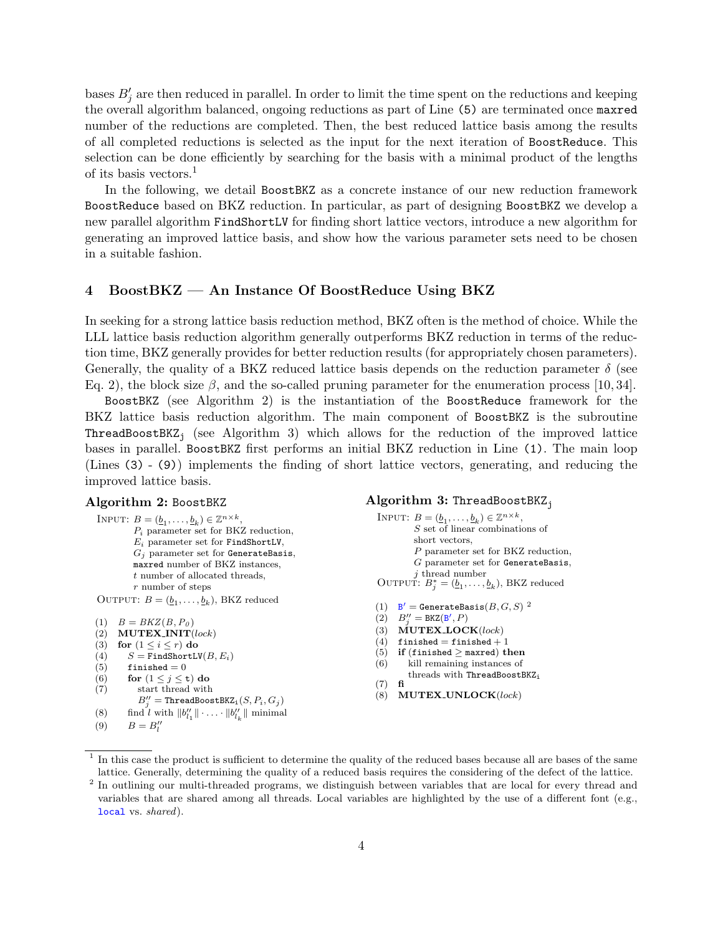bases  $B'_{j}$  are then reduced in parallel. In order to limit the time spent on the reductions and keeping the overall algorithm balanced, ongoing reductions as part of Line (5) are terminated once maxred number of the reductions are completed. Then, the best reduced lattice basis among the results of all completed reductions is selected as the input for the next iteration of BoostReduce. This selection can be done efficiently by searching for the basis with a minimal product of the lengths of its basis vectors.<sup>1</sup>

In the following, we detail BoostBKZ as a concrete instance of our new reduction framework BoostReduce based on BKZ reduction. In particular, as part of designing BoostBKZ we develop a new parallel algorithm FindShortLV for finding short lattice vectors, introduce a new algorithm for generating an improved lattice basis, and show how the various parameter sets need to be chosen in a suitable fashion.

# 4 BoostBKZ — An Instance Of BoostReduce Using BKZ

In seeking for a strong lattice basis reduction method, BKZ often is the method of choice. While the LLL lattice basis reduction algorithm generally outperforms BKZ reduction in terms of the reduction time, BKZ generally provides for better reduction results (for appropriately chosen parameters). Generally, the quality of a BKZ reduced lattice basis depends on the reduction parameter  $\delta$  (see Eq. 2), the block size  $\beta$ , and the so-called pruning parameter for the enumeration process [10, 34].

BoostBKZ (see Algorithm 2) is the instantiation of the BoostReduce framework for the BKZ lattice basis reduction algorithm. The main component of BoostBKZ is the subroutine **ThreadBoostBKZ**<sub>j</sub> (see Algorithm 3) which allows for the reduction of the improved lattice bases in parallel. BoostBKZ first performs an initial BKZ reduction in Line (1). The main loop (Lines (3) - (9)) implements the finding of short lattice vectors, generating, and reducing the improved lattice basis.

#### Algorithm 2: BoostBKZ

```
INPUT: B = (\underline{b}_1, \ldots, \underline{b}_k) \in \mathbb{Z}^{n \times k},
          P_i parameter set for BKZ reduction,
          E_i parameter set for FindShortLV,
          G_j parameter set for GenerateBasis,
          maxred number of BKZ instances,
          t number of allocated threads,
          r number of steps
 OUTPUT: B = (\underline{b}_1, \ldots, \underline{b}_k), BKZ reduced
(1) B = BKZ(B, P_0)(2) MUTEX INIT(lock)
(3) for (1 \leq i \leq r) do
```
- 
- (4)  $S = \text{FindShortLV}(B, E_i)$ <br>(5) finished = 0
- finished  $= 0$
- (6) for  $(1 \leq j \leq t)$  do

```
(7) start thread with
```
- $B_j'' =$  ThreadBoostBKZ<sub>i</sub> $(S, P_i, G_j)$
- (8) find l with  $||b''_{l_1}|| \cdot \ldots \cdot ||b''_{l_k}||$  minimal
- (9)  $B = B''_l$

#### Algorithm  $3:$  ThreadBoostBKZ<sub>j</sub>

- INPUT:  $B = (\underline{b}_1, \ldots, \underline{b}_k) \in \mathbb{Z}^{n \times k}$ , S set of linear combinations of short vectors, P parameter set for BKZ reduction, G parameter set for GenerateBasis, j thread number OUTPUT:  $B_j^* = (\underline{b}_1, \ldots, \underline{b}_k)$ , BKZ reduced
- (1)  $B' =$  GenerateBasis $(B, G, S)$ <sup>2</sup>
- $(2)$   $B''_j = B KZ(B', P)$
- (3)  $\text{MUTEX\_LOCAL}(lock)$
- (4) finished = finished + 1
- (5) if (finished  $\ge$  maxred) then
- (6) kill remaining instances of threads with ThreadBoostBKZ<sup>i</sup>  $(7)$  fi
- (8) MUTEX UNLOCK(lock)

<sup>&</sup>lt;sup>1</sup> In this case the product is sufficient to determine the quality of the reduced bases because all are bases of the same lattice. Generally, determining the quality of a reduced basis requires the considering of the defect of the lattice.

<sup>&</sup>lt;sup>2</sup> In outlining our multi-threaded programs, we distinguish between variables that are local for every thread and variables that are shared among all threads. Local variables are highlighted by the use of a different font (e.g., local vs. shared).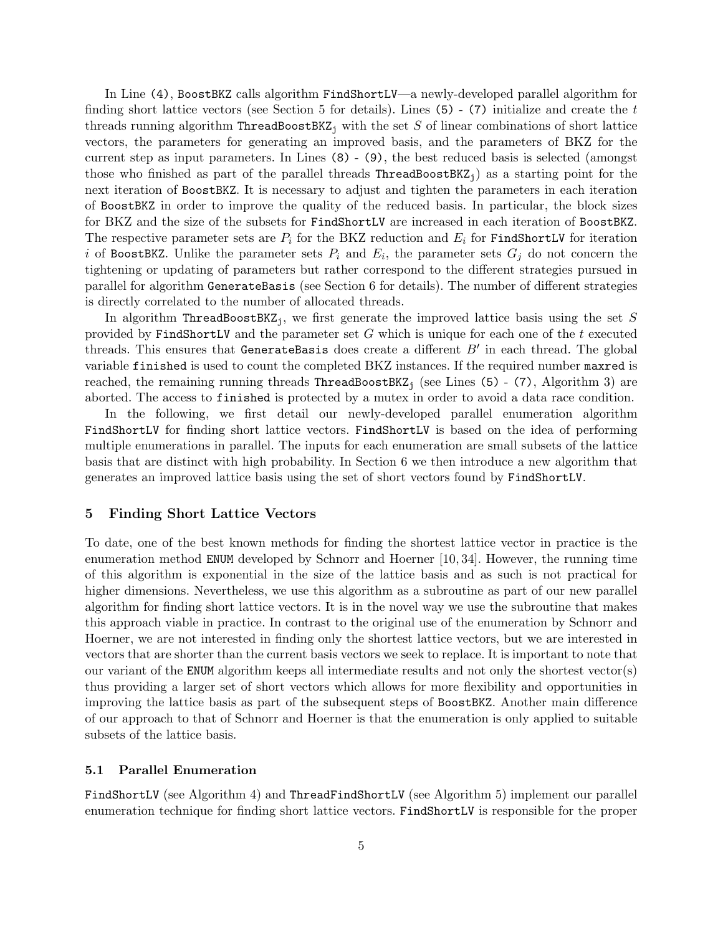In Line (4), BoostBKZ calls algorithm FindShortLV—a newly-developed parallel algorithm for finding short lattice vectors (see Section 5 for details). Lines (5) - (7) initialize and create the t threads running algorithm ThreadBoostBKZ<sub>i</sub> with the set S of linear combinations of short lattice vectors, the parameters for generating an improved basis, and the parameters of BKZ for the current step as input parameters. In Lines (8) - (9), the best reduced basis is selected (amongst those who finished as part of the parallel threads  $ThreadBoostBKZ_i$ ) as a starting point for the next iteration of BoostBKZ. It is necessary to adjust and tighten the parameters in each iteration of BoostBKZ in order to improve the quality of the reduced basis. In particular, the block sizes for BKZ and the size of the subsets for FindShortLV are increased in each iteration of BoostBKZ. The respective parameter sets are  $P_i$  for the BKZ reduction and  $E_i$  for FindShortLV for iteration i of BoostBKZ. Unlike the parameter sets  $P_i$  and  $E_i$ , the parameter sets  $G_j$  do not concern the tightening or updating of parameters but rather correspond to the different strategies pursued in parallel for algorithm GenerateBasis (see Section 6 for details). The number of different strategies is directly correlated to the number of allocated threads.

In algorithm ThreadBoostBKZ<sub>j</sub>, we first generate the improved lattice basis using the set S provided by FindShortLV and the parameter set  $G$  which is unique for each one of the t executed threads. This ensures that GenerateBasis does create a different  $B'$  in each thread. The global variable finished is used to count the completed BKZ instances. If the required number maxred is reached, the remaining running threads  $\text{ThreadBoostBKZ}_j$  (see Lines (5) - (7), Algorithm 3) are aborted. The access to finished is protected by a mutex in order to avoid a data race condition.

In the following, we first detail our newly-developed parallel enumeration algorithm FindShortLV for finding short lattice vectors. FindShortLV is based on the idea of performing multiple enumerations in parallel. The inputs for each enumeration are small subsets of the lattice basis that are distinct with high probability. In Section 6 we then introduce a new algorithm that generates an improved lattice basis using the set of short vectors found by FindShortLV.

# 5 Finding Short Lattice Vectors

To date, one of the best known methods for finding the shortest lattice vector in practice is the enumeration method ENUM developed by Schnorr and Hoerner [10, 34]. However, the running time of this algorithm is exponential in the size of the lattice basis and as such is not practical for higher dimensions. Nevertheless, we use this algorithm as a subroutine as part of our new parallel algorithm for finding short lattice vectors. It is in the novel way we use the subroutine that makes this approach viable in practice. In contrast to the original use of the enumeration by Schnorr and Hoerner, we are not interested in finding only the shortest lattice vectors, but we are interested in vectors that are shorter than the current basis vectors we seek to replace. It is important to note that our variant of the ENUM algorithm keeps all intermediate results and not only the shortest vector(s) thus providing a larger set of short vectors which allows for more flexibility and opportunities in improving the lattice basis as part of the subsequent steps of BoostBKZ. Another main difference of our approach to that of Schnorr and Hoerner is that the enumeration is only applied to suitable subsets of the lattice basis.

#### 5.1 Parallel Enumeration

FindShortLV (see Algorithm 4) and ThreadFindShortLV (see Algorithm 5) implement our parallel enumeration technique for finding short lattice vectors. FindShortLV is responsible for the proper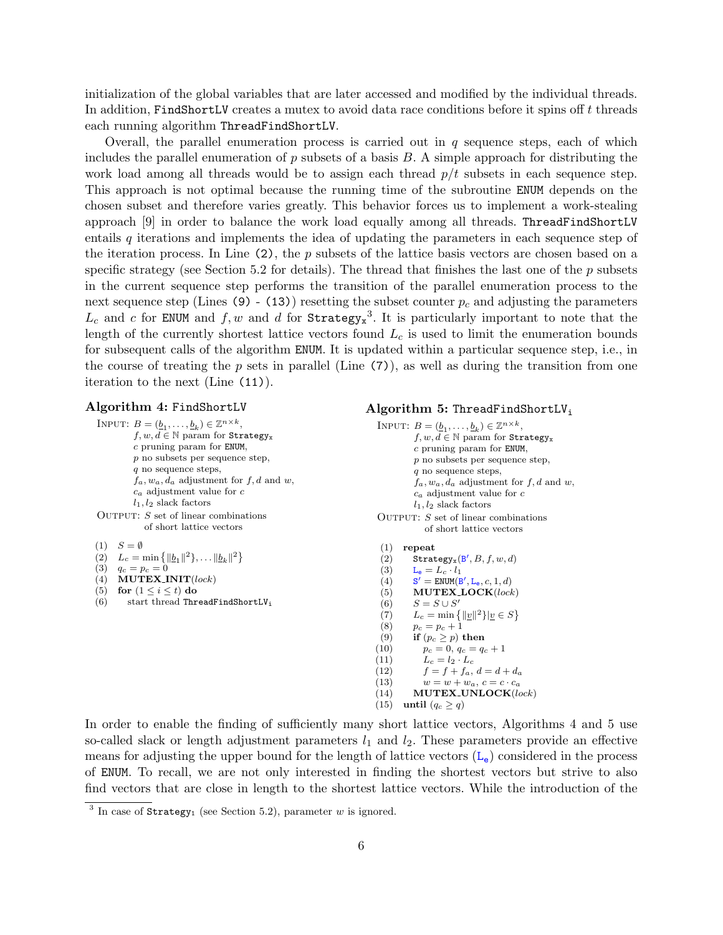initialization of the global variables that are later accessed and modified by the individual threads. In addition, FindShortLV creates a mutex to avoid data race conditions before it spins off  $t$  threads each running algorithm ThreadFindShortLV.

Overall, the parallel enumeration process is carried out in  $q$  sequence steps, each of which includes the parallel enumeration of p subsets of a basis  $B$ . A simple approach for distributing the work load among all threads would be to assign each thread  $p/t$  subsets in each sequence step. This approach is not optimal because the running time of the subroutine ENUM depends on the chosen subset and therefore varies greatly. This behavior forces us to implement a work-stealing approach [9] in order to balance the work load equally among all threads. ThreadFindShortLV entails q iterations and implements the idea of updating the parameters in each sequence step of the iteration process. In Line  $(2)$ , the p subsets of the lattice basis vectors are chosen based on a specific strategy (see Section 5.2 for details). The thread that finishes the last one of the  $p$  subsets in the current sequence step performs the transition of the parallel enumeration process to the next sequence step (Lines (9) - (13)) resetting the subset counter  $p_c$  and adjusting the parameters  $L_c$  and c for ENUM and f, w and d for Strategy<sub>x</sub><sup>3</sup>. It is particularly important to note that the length of the currently shortest lattice vectors found  $L<sub>c</sub>$  is used to limit the enumeration bounds for subsequent calls of the algorithm ENUM. It is updated within a particular sequence step, i.e., in the course of treating the  $p$  sets in parallel (Line  $(7)$ ), as well as during the transition from one iteration to the next (Line (11)).

## Algorithm 4: FindShortLV

INPUT:  $B = (\underline{b}_1, \ldots, \underline{b}_k) \in \mathbb{Z}^{n \times k}$ ,  $f, w, d \in \mathbb{N}$  param for Strategy<sub>x</sub> c pruning param for ENUM, p no subsets per sequence step, q no sequence steps,  $f_a, w_a, d_a$  adjustment for  $f, d$  and  $w$ ,  $c_a$  adjustment value for  $c$  $l_1, l_2$  slack factors OUTPUT:  $S$  set of linear combinations of short lattice vectors  $(1)$   $C = \emptyset$ 

(1) 
$$
3 - \Psi
$$
  
(2)  $L_c = \min \{ ||\underline{b}_1||^2 \},$ 

(2) 
$$
L_c = \min \{ ||\underline{b}_1||^2 \}, \dots ||\underline{b}_k||^2 \}
$$
  
(3)  $q_c = p_c = 0$ 

- (4) MUTEX INIT(lock)
- 
- (5) for  $(1 \leq i \leq t)$  do<br>(6) start thread Thr start thread ThreadFindShortLV<sub>i</sub>

## Algorithm 5: ThreadFindShortLV<sub>i</sub>

```
INPUT: B = (\underline{b}_1, \ldots, \underline{b}_k) \in \mathbb{Z}^{n \times k},
           f, w, d \in \mathbb{N} param for Strategy<sub>x</sub>
           c pruning param for ENUM,
          p no subsets per sequence step,
          q no sequence steps,
           f_a, w_a, d_a adjustment for f, d and w,
           c_a adjustment value for cl_1, l_2 slack factors
OUTPUT: S set of linear combinations
```
- of short lattice vectors
- (1) repeat (2) Strategy<sub>x</sub>( $B', B, f, w, d$ ) (3)  $L_e = L_c \cdot l_1$  $(4)$  $\mathbf{C}' = \text{ENUM}(\mathbf{B}', \mathbf{L}_{\mathbf{e}}, c, 1, d)$  $(5)$  MUTEX<sub>LOCK</sub> $(lock)$ (6)  $S = S \cup S'$ (7)  $L_c = \min\{\|\underline{v}\|^2\}|\underline{v} \in S\}$ (8)  $p_c = p_c + 1$ (9) if  $(p_c \ge p)$  then<br>(10)  $p_c = 0, q_c = q_c$ (10)  $p_c = 0, q_c = q_c + 1$ <br>(11)  $L_c = l_2 \cdot L_c$  $L_c = l_2 \cdot L_c$ (12)  $f = f + f_a, d = d + d_a$ (13)  $w = w + w_a, c = c \cdot c_a$ (14) MUTEX\_UNLOCK(lock) (15) until  $(q_c \geq q)$

In order to enable the finding of sufficiently many short lattice vectors, Algorithms 4 and 5 use so-called slack or length adjustment parameters  $l_1$  and  $l_2$ . These parameters provide an effective means for adjusting the upper bound for the length of lattice vectors  $(L_e)$  considered in the process of ENUM. To recall, we are not only interested in finding the shortest vectors but strive to also find vectors that are close in length to the shortest lattice vectors. While the introduction of the

 $3$  In case of Strategy<sub>1</sub> (see Section 5.2), parameter w is ignored.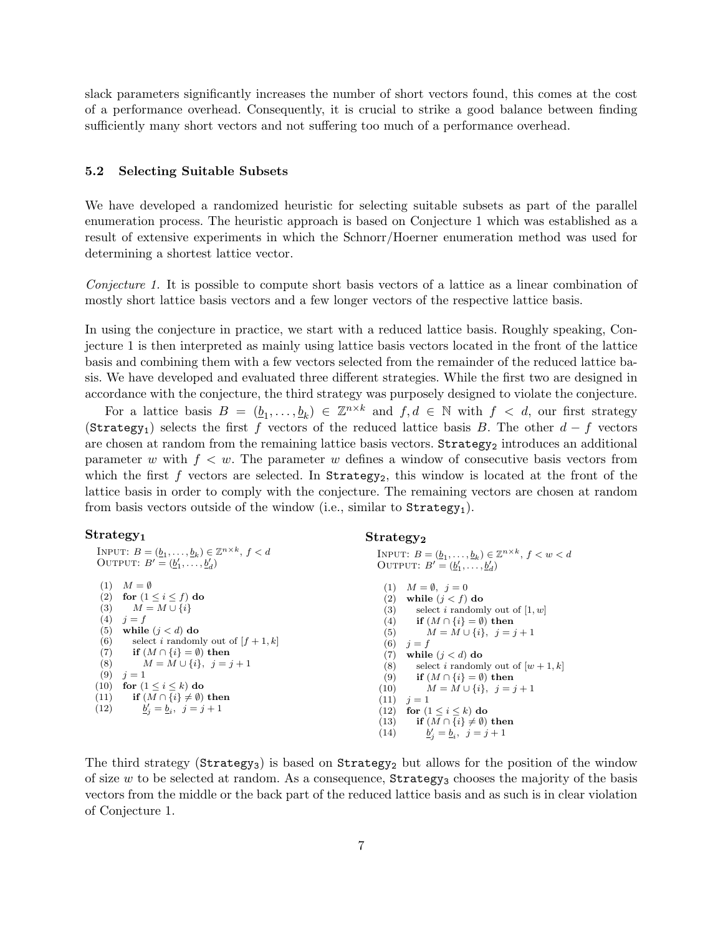slack parameters significantly increases the number of short vectors found, this comes at the cost of a performance overhead. Consequently, it is crucial to strike a good balance between finding sufficiently many short vectors and not suffering too much of a performance overhead.

#### 5.2 Selecting Suitable Subsets

We have developed a randomized heuristic for selecting suitable subsets as part of the parallel enumeration process. The heuristic approach is based on Conjecture 1 which was established as a result of extensive experiments in which the Schnorr/Hoerner enumeration method was used for determining a shortest lattice vector.

Conjecture 1. It is possible to compute short basis vectors of a lattice as a linear combination of mostly short lattice basis vectors and a few longer vectors of the respective lattice basis.

In using the conjecture in practice, we start with a reduced lattice basis. Roughly speaking, Conjecture 1 is then interpreted as mainly using lattice basis vectors located in the front of the lattice basis and combining them with a few vectors selected from the remainder of the reduced lattice basis. We have developed and evaluated three different strategies. While the first two are designed in accordance with the conjecture, the third strategy was purposely designed to violate the conjecture.

For a lattice basis  $B = (\underline{b}_1, \ldots, \underline{b}_k) \in \mathbb{Z}^{n \times k}$  and  $f, d \in \mathbb{N}$  with  $f < d$ , our first strategy (Strategy<sub>1</sub>) selects the first f vectors of the reduced lattice basis B. The other  $d - f$  vectors are chosen at random from the remaining lattice basis vectors.  $Strategy<sub>2</sub>$  introduces an additional parameter w with  $f \, \langle w \rangle$ . The parameter w defines a window of consecutive basis vectors from which the first f vectors are selected. In  $Strategy_2$ , this window is located at the front of the lattice basis in order to comply with the conjecture. The remaining vectors are chosen at random from basis vectors outside of the window (i.e., similar to  $Strategy_1$ ).

 $Strateev<sub>2</sub>$ 

#### $Strategy<sub>1</sub>$

| INPUT: $B = (\underline{b}_1, \ldots, \underline{b}_k) \in \mathbb{Z}^{n \times k}, f < d$<br>OUTPUT: $B' = (b'_1, \ldots, b'_d)$<br>OUTPUT: $B' = (b'_1, \ldots, b'_d)$<br>$(1)$ $M = \emptyset$<br>$(1)$ $M = \emptyset$ , $i = 0$<br>(2) for $(1 \leq i \leq f)$ do<br>while $(j < f)$ do<br>(2)<br>(3) $M = M \cup \{i\}$<br>(3)<br>select i randomly out of $[1, w]$<br>(4)<br>$i = f$<br>(4)<br>if $(M \cap \{i\} = \emptyset)$ then<br>(5)<br>while $(j < d)$ do<br>$M = M \cup \{i\}, i = j + 1$<br>(5)<br>(6)<br>select <i>i</i> randomly out of $[f + 1, k]$<br>(6) $i = f$<br>(7)<br>$\textbf{if} \ (M \cap \{i\} = \emptyset) \textbf{ then}$<br>(7)<br>while $(j < d)$ do<br>(8)<br>$M = M \cup \{i\}, i = j + 1$<br>(8)<br>(9)<br>$i=1$<br>(9) if $(M \cap \{i\} = \emptyset)$ then<br>(10)<br>for $(1 \leq i \leq k)$ do<br>$M = M \cup \{i\}, i = j + 1$<br>(10)<br>(11) if $(M \cap \{i\} \neq \emptyset)$ then<br>$(11)$ $j=1$<br>(12) $\underline{b}'_j = \underline{b}_i, \ j = j + 1$<br>(12)<br>for $(1 \leq i \leq k)$ do |  |                                                                                              |
|--------------------------------------------------------------------------------------------------------------------------------------------------------------------------------------------------------------------------------------------------------------------------------------------------------------------------------------------------------------------------------------------------------------------------------------------------------------------------------------------------------------------------------------------------------------------------------------------------------------------------------------------------------------------------------------------------------------------------------------------------------------------------------------------------------------------------------------------------------------------------------------------------------------------------------------------------------------------------------------------------------------------------------------------------|--|----------------------------------------------------------------------------------------------|
|                                                                                                                                                                                                                                                                                                                                                                                                                                                                                                                                                                                                                                                                                                                                                                                                                                                                                                                                                                                                                                                  |  | INPUT: $B = (b_1, , b_k) \in \mathbb{Z}^{n \times k}, f < w < d$                             |
|                                                                                                                                                                                                                                                                                                                                                                                                                                                                                                                                                                                                                                                                                                                                                                                                                                                                                                                                                                                                                                                  |  |                                                                                              |
| (14) $\underline{b}'_i = \underline{b}_i, \ j = j + 1$                                                                                                                                                                                                                                                                                                                                                                                                                                                                                                                                                                                                                                                                                                                                                                                                                                                                                                                                                                                           |  | select <i>i</i> randomly out of $[w + 1, k]$<br>(13) if $(M \cap \{i\} \neq \emptyset)$ then |

The third strategy ( $Strategy_3$ ) is based on  $Strategy_2$  but allows for the position of the window of size  $w$  to be selected at random. As a consequence,  $Strategy_3$  chooses the majority of the basis vectors from the middle or the back part of the reduced lattice basis and as such is in clear violation of Conjecture 1.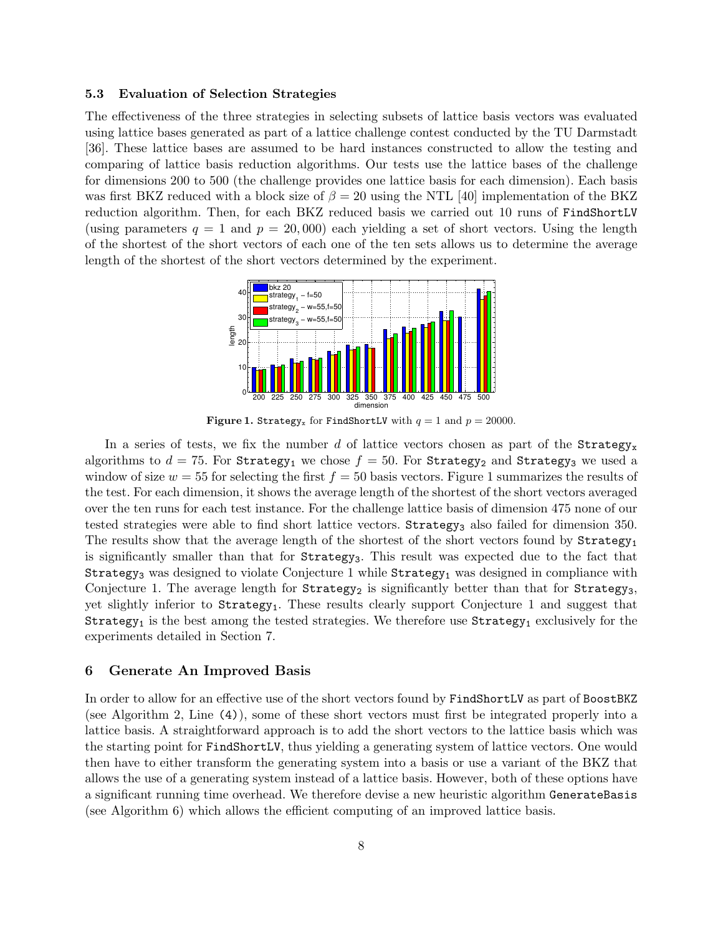## 5.3 Evaluation of Selection Strategies

The effectiveness of the three strategies in selecting subsets of lattice basis vectors was evaluated using lattice bases generated as part of a lattice challenge contest conducted by the TU Darmstadt [36]. These lattice bases are assumed to be hard instances constructed to allow the testing and comparing of lattice basis reduction algorithms. Our tests use the lattice bases of the challenge for dimensions 200 to 500 (the challenge provides one lattice basis for each dimension). Each basis was first BKZ reduced with a block size of  $\beta = 20$  using the NTL [40] implementation of the BKZ reduction algorithm. Then, for each BKZ reduced basis we carried out 10 runs of FindShortLV (using parameters  $q = 1$  and  $p = 20,000$ ) each yielding a set of short vectors. Using the length of the shortest of the short vectors of each one of the ten sets allows us to determine the average length of the shortest of the short vectors determined by the experiment.



Figure 1. Strategy<sub>x</sub> for FindShortLV with  $q = 1$  and  $p = 20000$ .

In a series of tests, we fix the number d of lattice vectors chosen as part of the  $strategy_x$ algorithms to  $d = 75$ . For Strategy<sub>1</sub> we chose  $f = 50$ . For Strategy<sub>2</sub> and Strategy<sub>3</sub> we used a window of size  $w = 55$  for selecting the first  $f = 50$  basis vectors. Figure 1 summarizes the results of the test. For each dimension, it shows the average length of the shortest of the short vectors averaged over the ten runs for each test instance. For the challenge lattice basis of dimension 475 none of our tested strategies were able to find short lattice vectors. Strategy<sub>3</sub> also failed for dimension 350. The results show that the average length of the shortest of the short vectors found by  $Strategy<sub>1</sub>$ is significantly smaller than that for Strategy<sub>3</sub>. This result was expected due to the fact that Strategy<sub>3</sub> was designed to violate Conjecture 1 while  $Strategy<sub>1</sub>$  was designed in compliance with Conjecture 1. The average length for  $Strategy_2$  is significantly better than that for  $Strategy_3$ , yet slightly inferior to Strategy1. These results clearly support Conjecture 1 and suggest that Strategy<sub>1</sub> is the best among the tested strategies. We therefore use  $String_1$  exclusively for the experiments detailed in Section 7.

#### 6 Generate An Improved Basis

In order to allow for an effective use of the short vectors found by FindShortLV as part of BoostBKZ (see Algorithm 2, Line (4)), some of these short vectors must first be integrated properly into a lattice basis. A straightforward approach is to add the short vectors to the lattice basis which was the starting point for FindShortLV, thus yielding a generating system of lattice vectors. One would then have to either transform the generating system into a basis or use a variant of the BKZ that allows the use of a generating system instead of a lattice basis. However, both of these options have a significant running time overhead. We therefore devise a new heuristic algorithm GenerateBasis (see Algorithm 6) which allows the efficient computing of an improved lattice basis.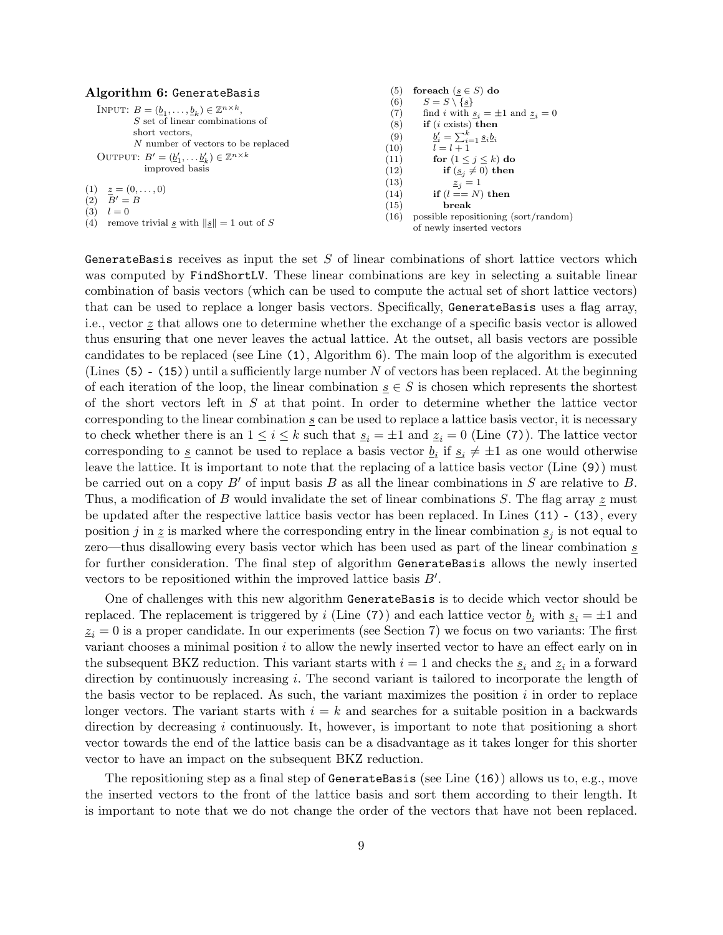| Algorithm 6: GenerateBasis                                                             | (5)               | foreach $(s \in S)$ do                                            |
|----------------------------------------------------------------------------------------|-------------------|-------------------------------------------------------------------|
|                                                                                        | (6)               | $S = S \setminus \{s\}$                                           |
| INPUT: $B = (\underline{b}_1, \ldots, \underline{b}_k) \in \mathbb{Z}^{n \times k}$ ,  | (7)               | find i with $s_i = \pm 1$ and $z_i = 0$                           |
| $S$ set of linear combinations of                                                      | (8)               | if $(i \text{ exists})$ then                                      |
| short vectors,                                                                         | $\left( 9\right)$ | $\underline{b}'_i = \sum_{i=1}^k \underline{s}_i \underline{b}_i$ |
| N number of vectors to be replaced                                                     | (10)              | $l = l + 1$                                                       |
| OUTPUT: $B' = (\underline{b}'_1, \dots, \underline{b}'_k) \in \mathbb{Z}^{n \times k}$ | (11)              | for $(1 \leq j \leq k)$ do                                        |
| improved basis                                                                         | (12)              | if $(\underline{s}_i \neq 0)$ then                                |
|                                                                                        | (13)              | $z_i=1$                                                           |
| $(1) \quad \underline{z} = (0, \ldots, 0)$                                             | (14)              | if $(l == N)$ then                                                |
| $(2)$ $B' = B$                                                                         | (15)              | break                                                             |
| (3)<br>$l=0$                                                                           | (16)              | possible repositioning (sort/random)                              |
| (4) remove trivial s with $  s   = 1$ out of S                                         |                   | of newly inserted vectors                                         |

GenerateBasis receives as input the set  $S$  of linear combinations of short lattice vectors which was computed by FindShortLV. These linear combinations are key in selecting a suitable linear combination of basis vectors (which can be used to compute the actual set of short lattice vectors) that can be used to replace a longer basis vectors. Specifically, GenerateBasis uses a flag array, i.e., vector  $\underline{z}$  that allows one to determine whether the exchange of a specific basis vector is allowed thus ensuring that one never leaves the actual lattice. At the outset, all basis vectors are possible candidates to be replaced (see Line (1), Algorithm 6). The main loop of the algorithm is executed (Lines  $(5)$  -  $(15)$ ) until a sufficiently large number N of vectors has been replaced. At the beginning of each iteration of the loop, the linear combination  $s \in S$  is chosen which represents the shortest of the short vectors left in  $S$  at that point. In order to determine whether the lattice vector corresponding to the linear combination  $s$  can be used to replace a lattice basis vector, it is necessary to check whether there is an  $1 \leq i \leq k$  such that  $s_i = \pm 1$  and  $z_i = 0$  (Line (7)). The lattice vector corresponding to  $\underline{s}$  cannot be used to replace a basis vector  $\underline{b}_i$  if  $\underline{s}_i \neq \pm 1$  as one would otherwise leave the lattice. It is important to note that the replacing of a lattice basis vector (Line (9)) must be carried out on a copy  $B'$  of input basis B as all the linear combinations in S are relative to B. Thus, a modification of B would invalidate the set of linear combinations S. The flag array  $\tilde{z}$  must be updated after the respective lattice basis vector has been replaced. In Lines (11) - (13), every position j in  $\zeta$  is marked where the corresponding entry in the linear combination  $s_j$  is not equal to zero—thus disallowing every basis vector which has been used as part of the linear combination s for further consideration. The final step of algorithm GenerateBasis allows the newly inserted vectors to be repositioned within the improved lattice basis  $B'$ .

One of challenges with this new algorithm GenerateBasis is to decide which vector should be replaced. The replacement is triggered by i (Line (7)) and each lattice vector  $\underline{b}_i$  with  $\underline{s}_i = \pm 1$  and  $z_i = 0$  is a proper candidate. In our experiments (see Section 7) we focus on two variants: The first variant chooses a minimal position  $i$  to allow the newly inserted vector to have an effect early on in the subsequent BKZ reduction. This variant starts with  $i = 1$  and checks the  $s_i$  and  $z_i$  in a forward direction by continuously increasing i. The second variant is tailored to incorporate the length of the basis vector to be replaced. As such, the variant maximizes the position  $i$  in order to replace longer vectors. The variant starts with  $i = k$  and searches for a suitable position in a backwards direction by decreasing i continuously. It, however, is important to note that positioning a short vector towards the end of the lattice basis can be a disadvantage as it takes longer for this shorter vector to have an impact on the subsequent BKZ reduction.

The repositioning step as a final step of GenerateBasis (see Line (16)) allows us to, e.g., move the inserted vectors to the front of the lattice basis and sort them according to their length. It is important to note that we do not change the order of the vectors that have not been replaced.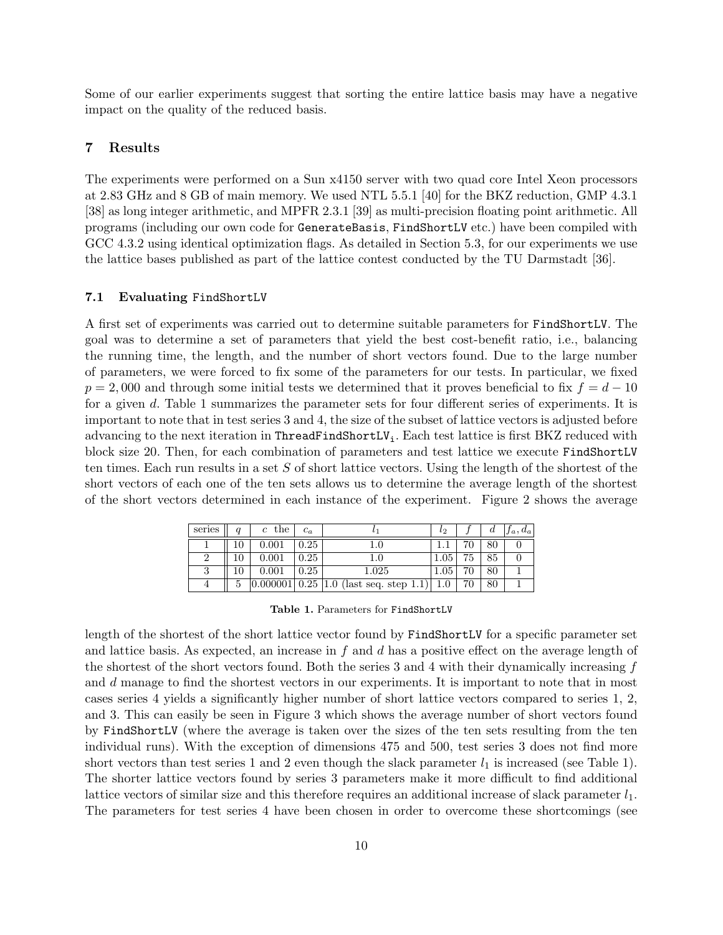Some of our earlier experiments suggest that sorting the entire lattice basis may have a negative impact on the quality of the reduced basis.

# 7 Results

The experiments were performed on a Sun x4150 server with two quad core Intel Xeon processors at 2.83 GHz and 8 GB of main memory. We used NTL 5.5.1 [40] for the BKZ reduction, GMP 4.3.1 [38] as long integer arithmetic, and MPFR 2.3.1 [39] as multi-precision floating point arithmetic. All programs (including our own code for GenerateBasis, FindShortLV etc.) have been compiled with GCC 4.3.2 using identical optimization flags. As detailed in Section 5.3, for our experiments we use the lattice bases published as part of the lattice contest conducted by the TU Darmstadt [36].

#### 7.1 Evaluating FindShortLV

A first set of experiments was carried out to determine suitable parameters for FindShortLV. The goal was to determine a set of parameters that yield the best cost-benefit ratio, i.e., balancing the running time, the length, and the number of short vectors found. Due to the large number of parameters, we were forced to fix some of the parameters for our tests. In particular, we fixed  $p = 2,000$  and through some initial tests we determined that it proves beneficial to fix  $f = d - 10$ for a given d. Table 1 summarizes the parameter sets for four different series of experiments. It is important to note that in test series 3 and 4, the size of the subset of lattice vectors is adjusted before advancing to the next iteration in ThreadFindShortLV<sub>i</sub>. Each test lattice is first BKZ reduced with block size 20. Then, for each combination of parameters and test lattice we execute FindShortLV ten times. Each run results in a set  $S$  of short lattice vectors. Using the length of the shortest of the short vectors of each one of the ten sets allows us to determine the average length of the shortest of the short vectors determined in each instance of the experiment. Figure 2 shows the average

| series |   | $c$ the | $c_a$ |                                                  | $l_{2}$  |    | d  | $ f_a, d_a $ |
|--------|---|---------|-------|--------------------------------------------------|----------|----|----|--------------|
|        |   | 0.001   | 0.25  |                                                  |          |    | 80 |              |
|        |   | 0.001   | 0.25  |                                                  | $1.05\,$ | 75 | 85 |              |
|        |   | 0.001   | 0.25  | 1.025                                            | 1.05     | 70 | 80 |              |
|        | 5 |         |       | $\boxed{0.000001}$ 0.25 1.0 (last seq. step 1.1) | $1.0\,$  | 70 | 80 |              |

Table 1. Parameters for FindShortLV

length of the shortest of the short lattice vector found by FindShortLV for a specific parameter set and lattice basis. As expected, an increase in f and d has a positive effect on the average length of the shortest of the short vectors found. Both the series 3 and 4 with their dynamically increasing  $f$ and d manage to find the shortest vectors in our experiments. It is important to note that in most cases series 4 yields a significantly higher number of short lattice vectors compared to series 1, 2, and 3. This can easily be seen in Figure 3 which shows the average number of short vectors found by FindShortLV (where the average is taken over the sizes of the ten sets resulting from the ten individual runs). With the exception of dimensions 475 and 500, test series 3 does not find more short vectors than test series 1 and 2 even though the slack parameter  $l_1$  is increased (see Table 1). The shorter lattice vectors found by series 3 parameters make it more difficult to find additional lattice vectors of similar size and this therefore requires an additional increase of slack parameter  $l_1$ . The parameters for test series 4 have been chosen in order to overcome these shortcomings (see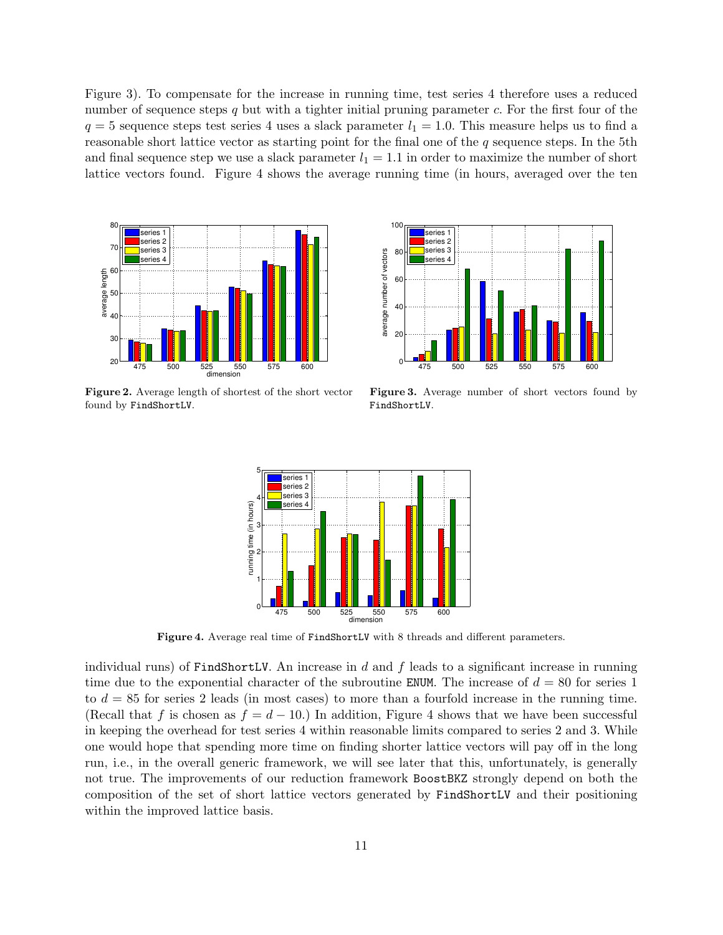Figure 3). To compensate for the increase in running time, test series 4 therefore uses a reduced number of sequence steps q but with a tighter initial pruning parameter  $c$ . For the first four of the  $q = 5$  sequence steps test series 4 uses a slack parameter  $l_1 = 1.0$ . This measure helps us to find a reasonable short lattice vector as starting point for the final one of the  $q$  sequence steps. In the 5th and final sequence step we use a slack parameter  $l_1 = 1.1$  in order to maximize the number of short lattice vectors found. Figure 4 shows the average running time (in hours, averaged over the ten



Figure 2. Average length of shortest of the short vector found by FindShortLV.



Figure 3. Average number of short vectors found by FindShortLV.



Figure 4. Average real time of FindShortLV with 8 threads and different parameters.

individual runs) of FindShortLV. An increase in  $d$  and  $f$  leads to a significant increase in running time due to the exponential character of the subroutine ENUM. The increase of  $d = 80$  for series 1 to  $d = 85$  for series 2 leads (in most cases) to more than a fourfold increase in the running time. (Recall that f is chosen as  $f = d - 10$ .) In addition, Figure 4 shows that we have been successful in keeping the overhead for test series 4 within reasonable limits compared to series 2 and 3. While one would hope that spending more time on finding shorter lattice vectors will pay off in the long run, i.e., in the overall generic framework, we will see later that this, unfortunately, is generally not true. The improvements of our reduction framework BoostBKZ strongly depend on both the composition of the set of short lattice vectors generated by FindShortLV and their positioning within the improved lattice basis.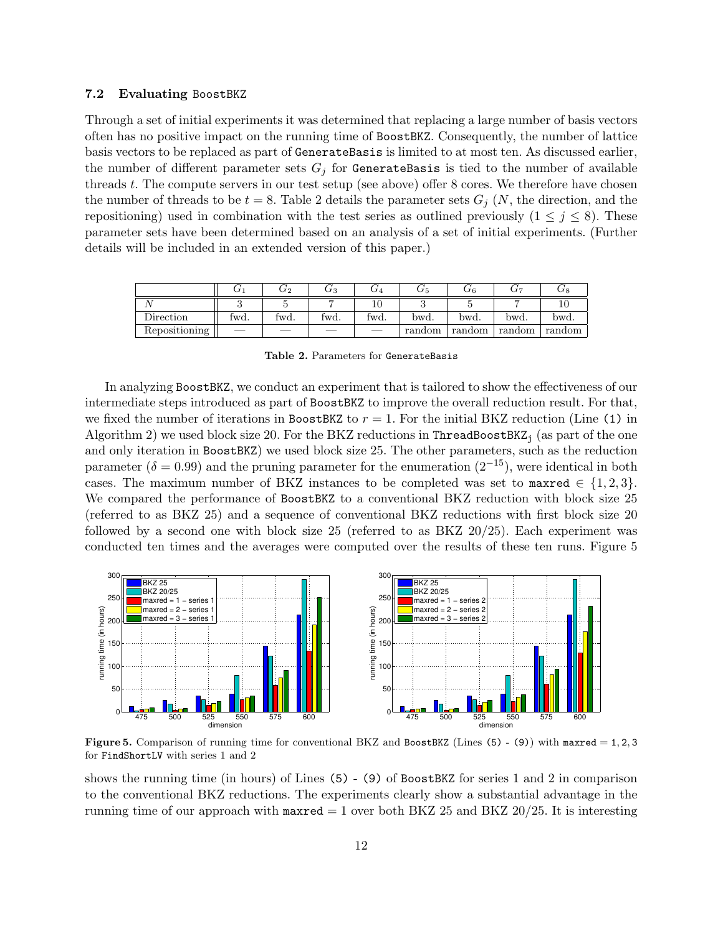## 7.2 Evaluating BoostBKZ

Through a set of initial experiments it was determined that replacing a large number of basis vectors often has no positive impact on the running time of BoostBKZ. Consequently, the number of lattice basis vectors to be replaced as part of GenerateBasis is limited to at most ten. As discussed earlier, the number of different parameter sets  $G_j$  for GenerateBasis is tied to the number of available threads t. The compute servers in our test setup (see above) offer 8 cores. We therefore have chosen the number of threads to be  $t = 8$ . Table 2 details the parameter sets  $G_i$  (N, the direction, and the repositioning) used in combination with the test series as outlined previously  $(1 \leq j \leq 8)$ . These parameter sets have been determined based on an analysis of a set of initial experiments. (Further details will be included in an extended version of this paper.)

|               |      | U2   | G3   |      | J 5    | JΓ 6   | J 7    | ∪8     |
|---------------|------|------|------|------|--------|--------|--------|--------|
|               |      |      |      |      |        |        |        |        |
| Direction     | twd. | twd. | fwd. | twd. | bwd.   | bwd.   | bwd.   | bwd.   |
| Repositioning |      |      | ___  | --   | random | random | random | random |

| Table 2. Parameters for GenerateBasis |  |
|---------------------------------------|--|
|---------------------------------------|--|

In analyzing BoostBKZ, we conduct an experiment that is tailored to show the effectiveness of our intermediate steps introduced as part of BoostBKZ to improve the overall reduction result. For that, we fixed the number of iterations in BoostBKZ to  $r = 1$ . For the initial BKZ reduction (Line (1) in Algorithm 2) we used block size 20. For the BKZ reductions in ThreadBoostBKZ<sub>i</sub> (as part of the one and only iteration in BoostBKZ) we used block size 25. The other parameters, such as the reduction parameter ( $\delta = 0.99$ ) and the pruning parameter for the enumeration ( $2^{-15}$ ), were identical in both cases. The maximum number of BKZ instances to be completed was set to maxred  $\in \{1,2,3\}$ . We compared the performance of BoostBKZ to a conventional BKZ reduction with block size 25 (referred to as BKZ 25) and a sequence of conventional BKZ reductions with first block size 20 followed by a second one with block size 25 (referred to as BKZ 20/25). Each experiment was conducted ten times and the averages were computed over the results of these ten runs. Figure 5



**Figure 5.** Comparison of running time for conventional BKZ and BoostBKZ (Lines  $(5) - (9)$ ) with maxred  $= 1, 2, 3$ for FindShortLV with series 1 and 2

shows the running time (in hours) of Lines (5) - (9) of BoostBKZ for series 1 and 2 in comparison to the conventional BKZ reductions. The experiments clearly show a substantial advantage in the running time of our approach with maxred  $= 1$  over both BKZ 25 and BKZ 20/25. It is interesting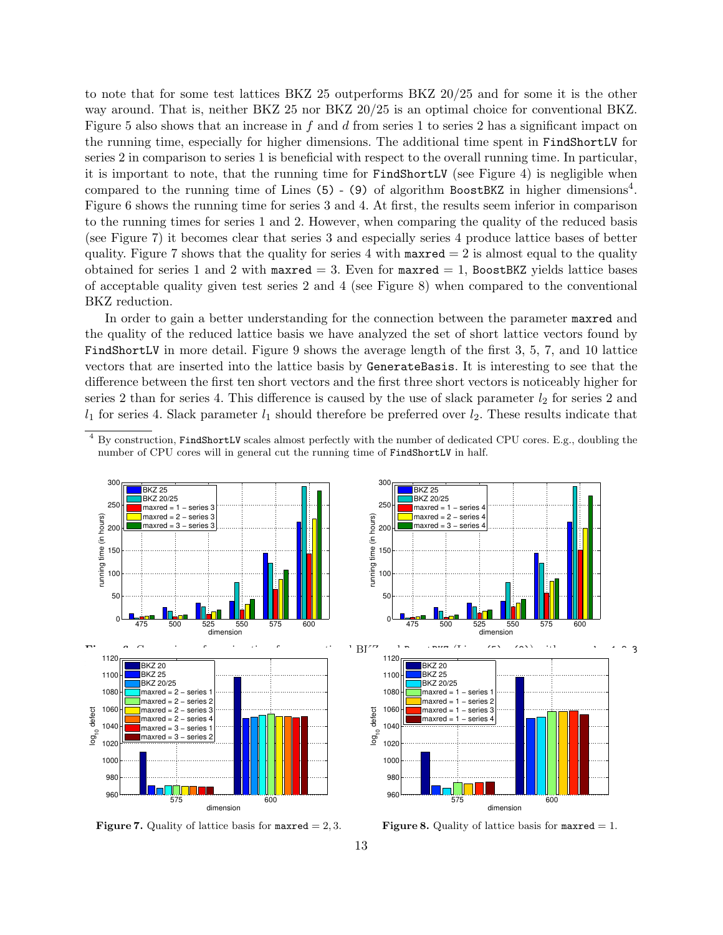to note that for some test lattices BKZ 25 outperforms BKZ 20/25 and for some it is the other way around. That is, neither BKZ 25 nor BKZ 20/25 is an optimal choice for conventional BKZ. Figure 5 also shows that an increase in f and d from series 1 to series 2 has a significant impact on the running time, especially for higher dimensions. The additional time spent in FindShortLV for series 2 in comparison to series 1 is beneficial with respect to the overall running time. In particular, it is important to note, that the running time for FindShortLV (see Figure 4) is negligible when compared to the running time of Lines  $(5)$  -  $(9)$  of algorithm BoostBKZ in higher dimensions<sup>4</sup>. Figure 6 shows the running time for series 3 and 4. At first, the results seem inferior in comparison to the running times for series 1 and 2. However, when comparing the quality of the reduced basis (see Figure 7) it becomes clear that series 3 and especially series 4 produce lattice bases of better quality. Figure 7 shows that the quality for series 4 with  $maxred = 2$  is almost equal to the quality obtained for series 1 and 2 with maxred  $=$  3. Even for maxred  $=$  1, BoostBKZ yields lattice bases of acceptable quality given test series 2 and 4 (see Figure 8) when compared to the conventional BKZ reduction.

In order to gain a better understanding for the connection between the parameter maxred and the quality of the reduced lattice basis we have analyzed the set of short lattice vectors found by FindShortLV in more detail. Figure 9 shows the average length of the first 3, 5, 7, and 10 lattice vectors that are inserted into the lattice basis by GenerateBasis. It is interesting to see that the difference between the first ten short vectors and the first three short vectors is noticeably higher for series 2 than for series 4. This difference is caused by the use of slack parameter  $l_2$  for series 2 and  $l_1$  for series 4. Slack parameter  $l_1$  should therefore be preferred over  $l_2$ . These results indicate that

<sup>&</sup>lt;sup>4</sup> By construction, FindShortLV scales almost perfectly with the number of dedicated CPU cores. E.g., doubling the number of CPU cores will in general cut the running time of FindShortLV in half.



**Figure 7.** Quality of lattice basis for  $maxred = 2, 3$ .



**Figure 8.** Quality of lattice basis for  $maxred = 1$ .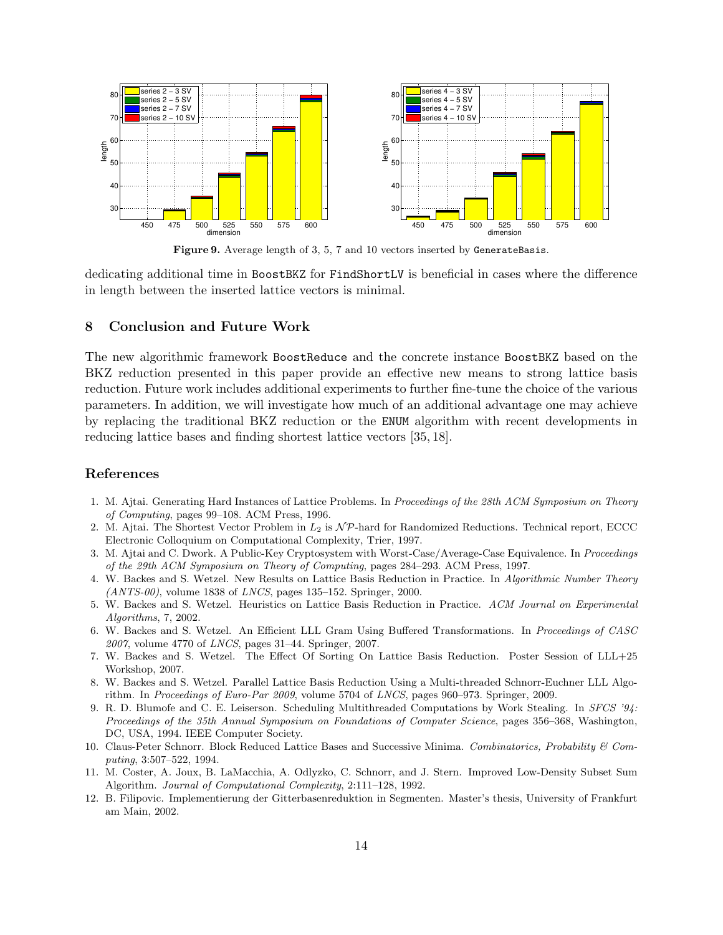

Figure 9. Average length of 3, 5, 7 and 10 vectors inserted by GenerateBasis.

dedicating additional time in BoostBKZ for FindShortLV is beneficial in cases where the difference in length between the inserted lattice vectors is minimal.

## 8 Conclusion and Future Work

The new algorithmic framework BoostReduce and the concrete instance BoostBKZ based on the BKZ reduction presented in this paper provide an effective new means to strong lattice basis reduction. Future work includes additional experiments to further fine-tune the choice of the various parameters. In addition, we will investigate how much of an additional advantage one may achieve by replacing the traditional BKZ reduction or the ENUM algorithm with recent developments in reducing lattice bases and finding shortest lattice vectors [35, 18].

# References

- 1. M. Ajtai. Generating Hard Instances of Lattice Problems. In Proceedings of the 28th ACM Symposium on Theory of Computing, pages 99–108. ACM Press, 1996.
- 2. M. Ajtai. The Shortest Vector Problem in  $L_2$  is  $\mathcal{NP}$ -hard for Randomized Reductions. Technical report, ECCC Electronic Colloquium on Computational Complexity, Trier, 1997.
- 3. M. Ajtai and C. Dwork. A Public-Key Cryptosystem with Worst-Case/Average-Case Equivalence. In Proceedings of the 29th ACM Symposium on Theory of Computing, pages 284–293. ACM Press, 1997.
- 4. W. Backes and S. Wetzel. New Results on Lattice Basis Reduction in Practice. In Algorithmic Number Theory  $(ANTS-00)$ , volume 1838 of *LNCS*, pages 135–152. Springer, 2000.
- 5. W. Backes and S. Wetzel. Heuristics on Lattice Basis Reduction in Practice. ACM Journal on Experimental Algorithms, 7, 2002.
- 6. W. Backes and S. Wetzel. An Efficient LLL Gram Using Buffered Transformations. In Proceedings of CASC 2007, volume 4770 of LNCS, pages 31–44. Springer, 2007.
- 7. W. Backes and S. Wetzel. The Effect Of Sorting On Lattice Basis Reduction. Poster Session of LLL+25 Workshop, 2007.
- 8. W. Backes and S. Wetzel. Parallel Lattice Basis Reduction Using a Multi-threaded Schnorr-Euchner LLL Algorithm. In Proceedings of Euro-Par 2009, volume 5704 of LNCS, pages 960–973. Springer, 2009.
- 9. R. D. Blumofe and C. E. Leiserson. Scheduling Multithreaded Computations by Work Stealing. In SFCS '94: Proceedings of the 35th Annual Symposium on Foundations of Computer Science, pages 356–368, Washington, DC, USA, 1994. IEEE Computer Society.
- 10. Claus-Peter Schnorr. Block Reduced Lattice Bases and Successive Minima. Combinatorics, Probability & Computing, 3:507–522, 1994.
- 11. M. Coster, A. Joux, B. LaMacchia, A. Odlyzko, C. Schnorr, and J. Stern. Improved Low-Density Subset Sum Algorithm. Journal of Computational Complexity, 2:111–128, 1992.
- 12. B. Filipovic. Implementierung der Gitterbasenreduktion in Segmenten. Master's thesis, University of Frankfurt am Main, 2002.